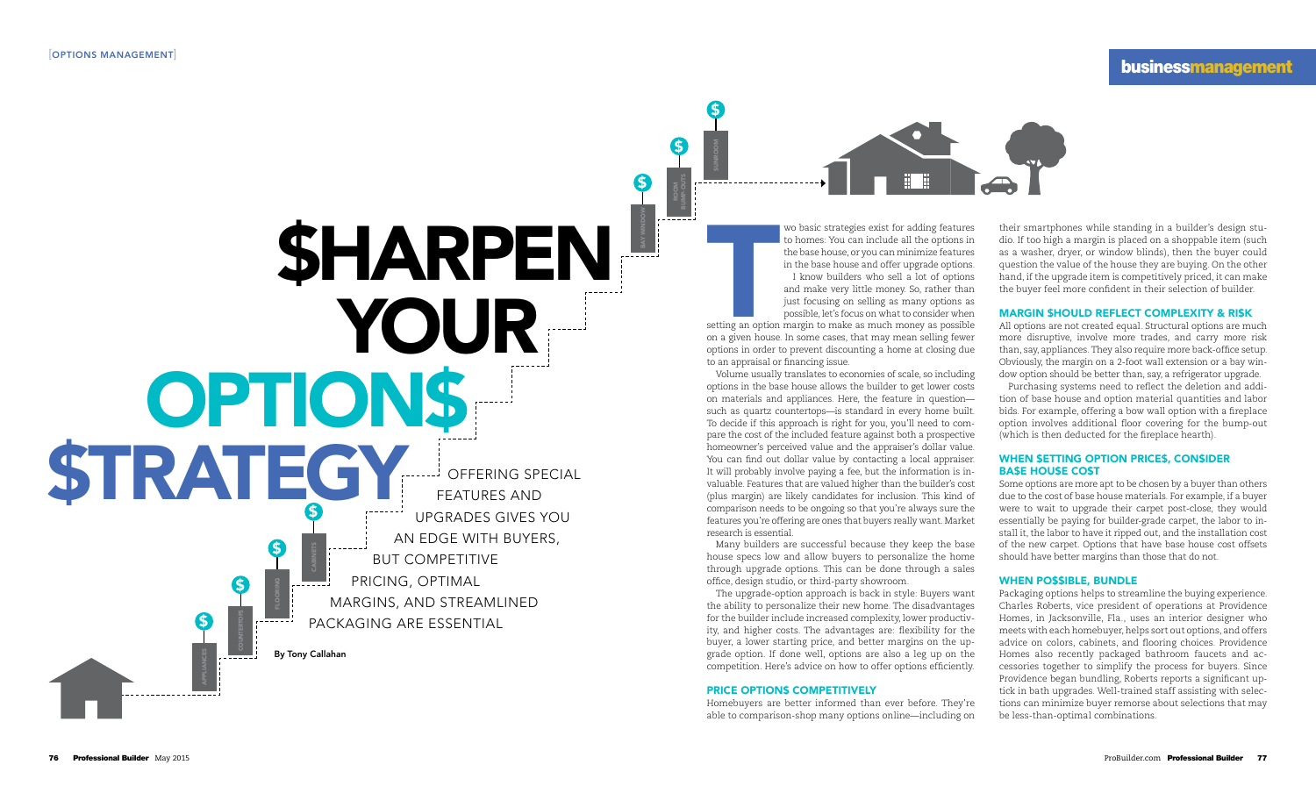wo basic strategies exist for adding features to homes: You can include all the options in the base house, or you can minimize features in the base house and offer upgrade options. I know builders who sell a lot of options

T setting an option margin to make as much money as possible on a given house. In some cases, that may mean selling fewer options in order to prevent discounting a home at closing due to an appraisal or financing issue.

and make very little money. So, rather than just focusing on selling as many options as possible, let's focus on what to consider when

Volume usually translates to economies of scale, so including options in the base house allows the builder to get lower costs on materials and appliances. Here, the feature in question such as quartz countertops—is standard in every home built. To decide if this approach is right for you, you'll need to compare the cost of the included feature against both a prospective homeowner's perceived value and the appraiser's dollar value. You can find out dollar value by contacting a local appraiser. It will probably involve paying a fee, but the information is invaluable. Features that are valued higher than the builder's cost (plus margin) are likely candidates for inclusion. This kind of comparison needs to be ongoing so that you're always sure the features you're offering are ones that buyers really want. Market research is essential.

Many builders are successful because they keep the base house specs low and allow buyers to personalize the home through upgrade options. This can be done through a sales office, design studio, or third-party showroom.

The upgrade-option approach is back in style: Buyers want the ability to personalize their new home. The disadvantages for the builder include increased complexity, lower productivity, and higher costs. The advantages are: flexibility for the buyer, a lower starting price, and better margins on the upgrade option. If done well, options are also a leg up on the competition. Here's advice on how to offer options efficiently.

#### PRICE OPTION\$ COMPETITIVELY

Homebuyers are better informed than ever before. They're able to comparison-shop many options online—including on

# **businessmanagement**



their smartphones while standing in a builder's design studio. If too high a margin is placed on a shoppable item (such as a washer, dryer, or window blinds), then the buyer could question the value of the house they are buying. On the other hand, if the upgrade item is competitively priced, it can make the buyer feel more confident in their selection of builder.

#### MARGIN \$HOULD REFLECT COMPLEXITY & RI\$K

All options are not created equal. Structural options are much more disruptive, involve more trades, and carry more risk than, say, appliances. They also require more back-office setup. Obviously, the margin on a 2-foot wall extension or a bay window option should be better than, say, a refrigerator upgrade.

Purchasing systems need to reflect the deletion and addition of base house and option material quantities and labor bids. For example, offering a bow wall option with a fireplace option involves additional floor covering for the bump-out (which is then deducted for the fireplace hearth).

## WHEN \$ETTING OPTION PRICE\$, CON\$IDER BA\$E HOU\$E CO\$T

Some options are more apt to be chosen by a buyer than others due to the cost of base house materials. For example, if a buyer were to wait to upgrade their carpet post-close, they would essentially be paying for builder-grade carpet, the labor to install it, the labor to have it ripped out, and the installation cost of the new carpet. Options that have base house cost offsets should have better margins than those that do not.

### WHEN PO\$\$IBLE, BUNDLE

Packaging options helps to streamline the buying experience. Charles Roberts, vice president of operations at Providence Homes, in Jacksonville, Fla., uses an interior designer who meets with each homebuyer, helps sort out options, and offers advice on colors, cabinets, and flooring choices. Providence Homes also recently packaged bathroom faucets and accessories together to simplify the process for buyers. Since Providence began bundling, Roberts reports a significant uptick in bath upgrades. Well-trained staff assisting with selections can minimize buyer remorse about selections that may be less-than-optimal combinations.

**SHARPEN** Your OPTION\$ **STRATEG** By Tony Callahan Offering special features and upgrades gives you an edge with buyers, but competitive pricing, optimal margins, and streamlined packaging are essential COUNTERTOPS \$ floorING  $\boldsymbol{\mathsf{S}}$ CABINETS  $\boldsymbol{\mathsf{S}}$ APPLIANCES  $\mathbf S$ 

BAY WINDOW

\$

ROOMBUMP-OUTS

\$

SUNROO M

 $\boldsymbol{\mathsf{S}}$